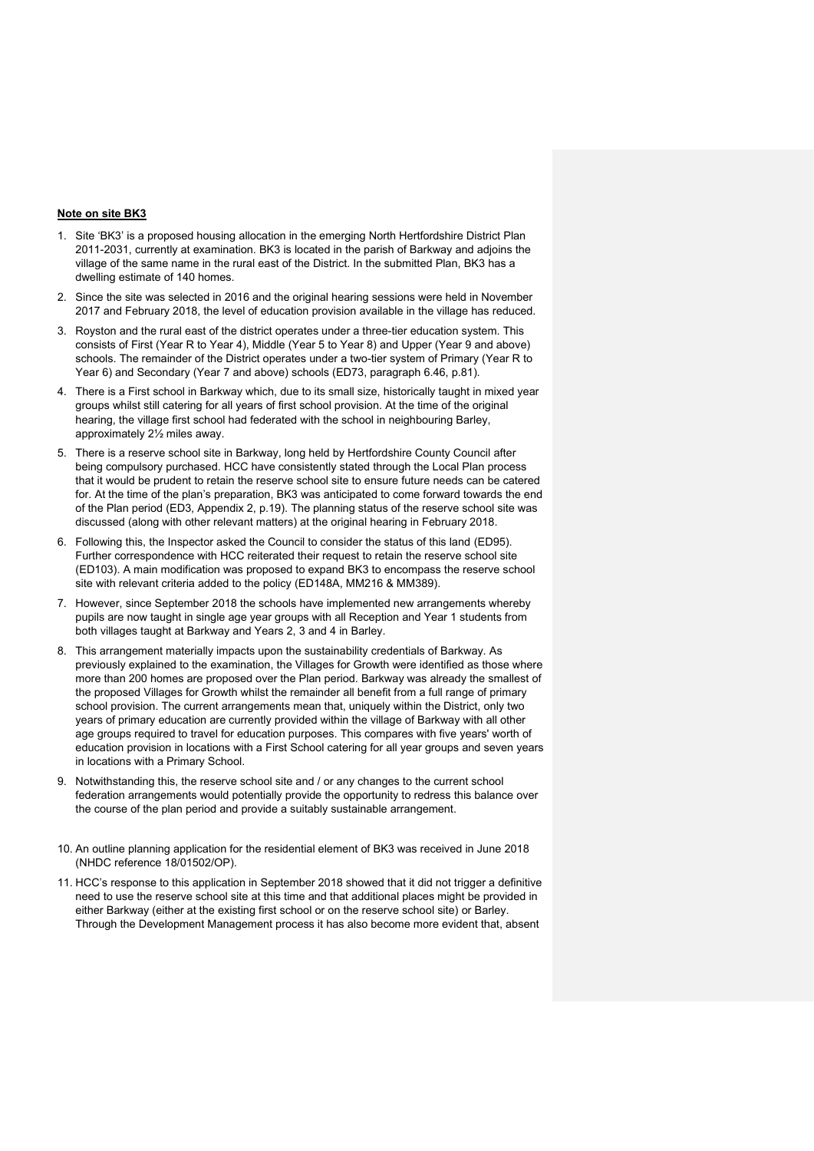## **Note on site BK3**

- 1. Site 'BK3' is a proposed housing allocation in the emerging North Hertfordshire District Plan 2011-2031, currently at examination. BK3 is located in the parish of Barkway and adjoins the village of the same name in the rural east of the District. In the submitted Plan, BK3 has a dwelling estimate of 140 homes.
- 2. Since the site was selected in 2016 and the original hearing sessions were held in November 2017 and February 2018, the level of education provision available in the village has reduced.
- 3. Royston and the rural east of the district operates under a three-tier education system. This consists of First (Year R to Year 4), Middle (Year 5 to Year 8) and Upper (Year 9 and above) schools. The remainder of the District operates under a two-tier system of Primary (Year R to Year 6) and Secondary (Year 7 and above) schools (ED73, paragraph 6.46, p.81).
- 4. There is a First school in Barkway which, due to its small size, historically taught in mixed year groups whilst still catering for all years of first school provision. At the time of the original hearing, the village first school had federated with the school in neighbouring Barley, approximately 2½ miles away.
- 5. There is a reserve school site in Barkway, long held by Hertfordshire County Council after being compulsory purchased. HCC have consistently stated through the Local Plan process that it would be prudent to retain the reserve school site to ensure future needs can be catered for. At the time of the plan's preparation, BK3 was anticipated to come forward towards the end of the Plan period (ED3, Appendix 2, p.19). The planning status of the reserve school site was discussed (along with other relevant matters) at the original hearing in February 2018.
- 6. Following this, the Inspector asked the Council to consider the status of this land (ED95). Further correspondence with HCC reiterated their request to retain the reserve school site (ED103). A main modification was proposed to expand BK3 to encompass the reserve school site with relevant criteria added to the policy (ED148A, MM216 & MM389).
- 7. However, since September 2018 the schools have implemented new arrangements whereby pupils are now taught in single age year groups with all Reception and Year 1 students from both villages taught at Barkway and Years 2, 3 and 4 in Barley.
- 8. This arrangement materially impacts upon the sustainability credentials of Barkway. As previously explained to the examination, the Villages for Growth were identified as those where more than 200 homes are proposed over the Plan period. Barkway was already the smallest of the proposed Villages for Growth whilst the remainder all benefit from a full range of primary school provision. The current arrangements mean that, uniquely within the District, only two years of primary education are currently provided within the village of Barkway with all other age groups required to travel for education purposes. This compares with five years' worth of education provision in locations with a First School catering for all year groups and seven years in locations with a Primary School.
- 9. Notwithstanding this, the reserve school site and / or any changes to the current school federation arrangements would potentially provide the opportunity to redress this balance over the course of the plan period and provide a suitably sustainable arrangement.
- 10. An outline planning application for the residential element of BK3 was received in June 2018 (NHDC reference 18/01502/OP).
- 11. HCC's response to this application in September 2018 showed that it did not trigger a definitive need to use the reserve school site at this time and that additional places might be provided in either Barkway (either at the existing first school or on the reserve school site) or Barley. Through the Development Management process it has also become more evident that, absent